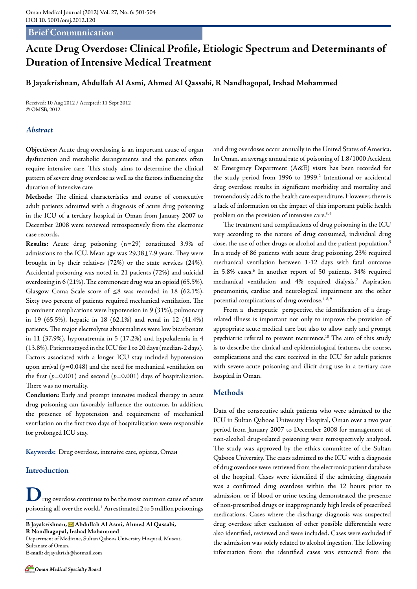## **Brief Communication**

# **Acute Drug Overdose: Clinical Profile, Etiologic Spectrum and Determinants of Duration of Intensive Medical Treatment**

#### **B Jayakrishnan, Abdullah Al Asmi, Ahmed Al Qassabi, R Nandhagopal, Irshad Mohammed**

Received: 10 Aug 2012 / Accepted: 11 Sept 2012 © OMSB, 2012

#### *Abstract*

**Objectives:** Acute drug overdosing is an important cause of organ dysfunction and metabolic derangements and the patients often require intensive care. This study aims to determine the clinical pattern of severe drug overdose as well as the factors influencing the duration of intensive care

**Methods:** The clinical characteristics and course of consecutive adult patients admitted with a diagnosis of acute drug poisoning in the ICU of a tertiary hospital in Oman from January 2007 to December 2008 were reviewed retrospectively from the electronic case records.

**Results:** Acute drug poisoning (n=29) constituted 3.9% of admissions to the ICU. Mean age was 29.38±7.9 years. They were brought in by their relatives (72%) or the state services (24%). Accidental poisoning was noted in 21 patients (72%) and suicidal overdosing in 6 (21%). The commonest drug was an opioid (65.5%). Glasgow Coma Scale score of ≤8 was recorded in 18 (62.1%). Sixty two percent of patients required mechanical ventilation. The prominent complications were hypotension in 9 (31%), pulmonary in 19 (65.5%), hepatic in 18 (62.1%) and renal in 12 (41.4%) patients. The major electrolytes abnormalities were low bicarbonate in 11 (37.9%), hyponatremia in 5 (17.2%) and hypokalemia in 4 (13.8%). Patients stayed in the ICU for 1 to 20 days (median-2 days). Factors associated with a longer ICU stay included hypotension upon arrival  $(p=0.048)$  and the need for mechanical ventilation on the first  $(p=0.001)$  and second  $(p=0.001)$  days of hospitalization. There was no mortality.

**Conclusion:** Early and prompt intensive medical therapy in acute drug poisoning can favorably influence the outcome. In addition, the presence of hypotension and requirement of mechanical ventilation on the first two days of hospitalization were responsible for prolonged ICU stay.

**Keywords:** Drug overdose, intensive care, opiates, Oma*n*

### **Introduction**

**D**rug overdose continues to be the most common cause of acute poisoning all over the world.1 An estimated 2 to 5 million poisonings

**B Jayakrishnan, Abdullah Al Asmi, Ahmed Al Qassabi, R Nandhagopal, Irshad Mohammed**  Department of Medicine, Sultan Qaboos University Hospital, Muscat, Sultanate of Oman. **E-mail:** drjayakrish@hotmail.com

and drug overdoses occur annually in the United States of America. In Oman, an average annual rate of poisoning of 1.8/1000 Accident & Emergency Department (A&E) visits has been recorded for the study period from 1996 to 1999.<sup>2</sup> Intentional or accidental drug overdose results in significant morbidity and mortality and tremendously adds to the health care expenditure. However, there is a lack of information on the impact of this important public health problem on the provision of intensive care.<sup>3,4</sup>

The treatment and complications of drug poisoning in the ICU vary according to the nature of drug consumed, individual drug dose, the use of other drugs or alcohol and the patient population.<sup>5</sup> In a study of 86 patients with acute drug poisoning, 23% required mechanical ventilation between 1-12 days with fatal outcome in 5.8% cases.<sup>6</sup> In another report of 50 patients, 34% required mechanical ventilation and 4% required dialysis.7 Aspiration pneumonitis, cardiac and neurological impairment are the other potential complications of drug overdose.<sup>4, 8, 9</sup>

From a therapeutic perspective, the identification of a drugrelated illness is important not only to improve the provision of appropriate acute medical care but also to allow early and prompt psychiatric referral to prevent recurrence.<sup>10</sup> The aim of this study is to describe the clinical and epidemiological features, the course, complications and the care received in the ICU for adult patients with severe acute poisoning and illicit drug use in a tertiary care hospital in Oman.

#### **Methods**

Data of the consecutive adult patients who were admitted to the ICU in Sultan Qaboos University Hospital, Oman over a two year period from January 2007 to December 2008 for management of non-alcohol drug-related poisoning were retrospectively analyzed. The study was approved by the ethics committee of the Sultan Qaboos University. The cases admitted to the ICU with a diagnosis of drug overdose were retrieved from the electronic patient database of the hospital. Cases were identified if the admitting diagnosis was a confirmed drug overdose within the 12 hours prior to admission, or if blood or urine testing demonstrated the presence of non-prescribed drugs or inappropriately high levels of prescribed medications. Cases where the discharge diagnosis was suspected drug overdose after exclusion of other possible differentials were also identified, reviewed and were included. Cases were excluded if the admission was solely related to alcohol ingestion. The following information from the identified cases was extracted from the

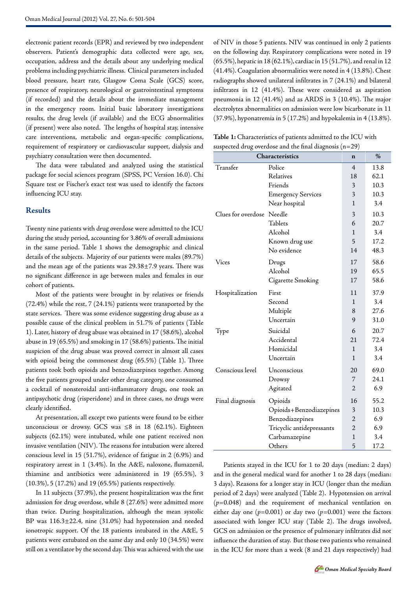electronic patient records (EPR) and reviewed by two independent observers. Patient's demographic data collected were age, sex, occupation, address and the details about any underlying medical problems including psychiatric illness. Clinical parameters included blood pressure, heart rate, Glasgow Coma Scale (GCS) score, presence of respiratory, neurological or gastrointestinal symptoms (if recorded) and the details about the immediate management in the emergency room. Initial basic laboratory investigations results, the drug levels (if available) and the ECG abnormalities (if present) were also noted. The lengths of hospital stay, intensive care interventions, metabolic and organ-specific complications, requirement of respiratory or cardiovascular support, dialysis and psychiatry consultation were then documented.

The data were tabulated and analyzed using the statistical package for social sciences program (SPSS, PC Version 16.0). Chi Square test or Fischer's exact test was used to identify the factors influencing ICU stay.

#### **Results**

Twenty nine patients with drug overdose were admitted to the ICU during the study period, accounting for 3.86% of overall admissions in the same period. Table 1 shows the demographic and clinical details of the subjects. Majority of our patients were males (89.7%) and the mean age of the patients was 29.38±7.9 years. There was no significant difference in age between males and females in our cohort of patients.

Most of the patients were brought in by relatives or friends (72.4%) while the rest, 7 (24.1%) patients were transported by the state services. There was some evidence suggesting drug abuse as a possible cause of the clinical problem in 51.7% of patients (Table 1). Later, history of drug abuse was obtained in 17 (58.6%), alcohol abuse in 19 (65.5%) and smoking in 17 (58.6%) patients. The initial suspicion of the drug abuse was proved correct in almost all cases with opioid being the commonest drug (65.5%) (Table 1). Three patients took both opioids and benzodiazepines together. Among the five patients grouped under other drug category, one consumed a cocktail of nonsteroidal anti-inflammatory drugs, one took an antipsychotic drug (risperidone) and in three cases, no drugs were clearly identified.

At presentation, all except two patients were found to be either unconscious or drowsy. GCS was  $\leq 8$  in 18 (62.1%). Eighteen subjects (62.1%) were intubated, while one patient received non invasive ventilation (NIV). The reasons for intubation were altered conscious level in 15 (51.7%), evidence of fatigue in 2 (6.9%) and respiratory arrest in 1 (3.4%). In the A&E, naloxone, flumazenil, thiamine and antibiotics were administered in 19 (65.5%), 3 (10.3%), 5 (17.2%) and 19 (65.5%) patients respectively.

In 11 subjects (37.9%), the present hospitalization was the first admission for drug overdose, while 8 (27.6%) were admitted more than twice. During hospitalization, although the mean systolic BP was 116.3±22.4, nine (31.0%) had hypotension and needed ionotropic support. Of the 18 patients intubated in the A&E, 5 patients were extubated on the same day and only 10 (34.5%) were still on a ventilator by the second day. This was achieved with the use of NIV in those 5 patients. NIV was continued in only 2 patients on the following day. Respiratory complications were noted in 19 (65.5%), hepatic in 18 (62.1%), cardiac in 15 (51.7%), and renal in 12 (41.4%). Coagulation abnormalities were noted in 4 (13.8%). Chest radiographs showed unilateral infiltrates in 7 (24.1%) and bilateral infiltrates in 12 (41.4%). These were considered as aspiration pneumonia in 12 (41.4%) and as ARDS in 3 (10.4%). The major electrolytes abnormalities on admission were low bicarbonate in 11 (37.9%), hyponatremia in 5 (17.2%) and hypokalemia in 4 (13.8%).

**Table 1:** Characteristics of patients admitted to the ICU with suspected drug overdose and the final diagnosis  $(n=29)$ 

| Characteristics           | $\mathbf n$               | $\%$           |      |
|---------------------------|---------------------------|----------------|------|
| Transfer                  | Police                    | $\overline{4}$ | 13.8 |
|                           | Relatives                 | 18             | 62.1 |
|                           | Friends                   | 3              | 10.3 |
|                           | <b>Emergency Services</b> | 3              | 10.3 |
|                           | Near hospital             | $\mathbf{1}$   | 3.4  |
| Clues for overdose Needle |                           | 3              | 10.3 |
|                           | Tablets                   | 6              | 20.7 |
|                           | Alcohol                   | 1              | 3.4  |
|                           | Known drug use            | 5              | 17.2 |
|                           | No evidence               | 14             | 48.3 |
| Vices                     | Drugs                     | 17             | 58.6 |
|                           | Alcohol                   | 19             | 65.5 |
|                           | Cigarette Smoking         | 17             | 58.6 |
| Hospitalization           | First                     | 11             | 37.9 |
|                           | Second                    | 1              | 3.4  |
|                           | Multiple                  | 8              | 27.6 |
|                           | Uncertain                 | 9              | 31.0 |
| Type                      | Suicidal                  | 6              | 20.7 |
|                           | Accidental                | 21             | 72.4 |
|                           | Homicidal                 | $\mathbf{1}$   | 3.4  |
|                           | Uncertain                 | $\mathbf{1}$   | 3.4  |
| Conscious level           | Unconscious               | 20             | 69.0 |
|                           | Drowsy                    | 7              | 24.1 |
|                           | Agitated                  | $\overline{2}$ | 6.9  |
| Final diagnosis           | Opioids                   | 16             | 55.2 |
|                           | Opioids+Benzodiazepines   | 3              | 10.3 |
|                           | Benzodiazepines           | $\overline{2}$ | 6.9  |
|                           | Tricyclic antidepressants | 2              | 6.9  |
|                           | Carbamazepine             | 1              | 3.4  |
|                           | Others                    | 5              | 17.2 |

Patients stayed in the ICU for 1 to 20 days (median: 2 days) and in the general medical ward for another 1 to 28 days (median: 3 days). Reasons for a longer stay in ICU (longer than the median period of 2 days) were analyzed (Table 2). Hypotension on arrival (*p*=0.048) and the requirement of mechanical ventilation on either day one  $(p=0.001)$  or day two  $(p=0.001)$  were the factors associated with longer ICU stay (Table 2). The drugs involved, GCS on admission or the presence of pulmonary infiltrates did not influence the duration of stay. But those two patients who remained in the ICU for more than a week (8 and 21 days respectively) had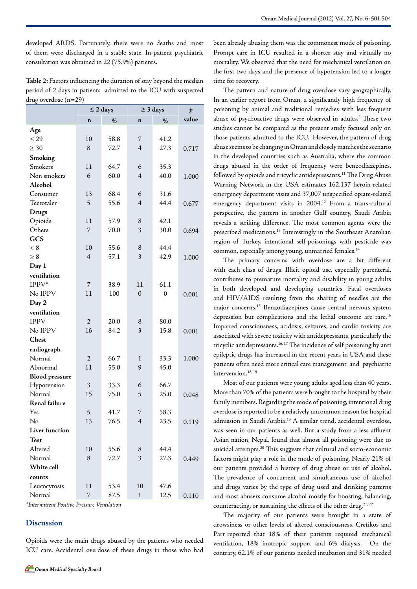developed ARDS. Fortunately, there were no deaths and most of them were discharged in a stable state. In-patient psychiatric consultation was obtained in 22 (75.9%) patients.

**Table 2:** Factors influencing the duration of stay beyond the median period of 2 days in patients admitted to the ICU with suspected drug overdose (n=29)

|                       | $\leq 2$ days  |      | $\geq$ 3 days  |              | $\boldsymbol{p}$ |
|-----------------------|----------------|------|----------------|--------------|------------------|
|                       | $\mathbf n$    | %    | $\mathbf n$    | %            | value            |
| Age                   |                |      |                |              |                  |
| $\leq$ 29             | 10             | 58.8 | 7              | 41.2         |                  |
| $\geq 30$             | 8              | 72.7 | $\overline{4}$ | 27.3         | 0.717            |
| Smoking               |                |      |                |              |                  |
| Smokers               | 11             | 64.7 | 6              | 35.3         |                  |
| Non smokers           | 6              | 60.0 | $\overline{4}$ | 40.0         | 1.000            |
| Alcohol               |                |      |                |              |                  |
| Consumer              | 13             | 68.4 | 6              | 31.6         |                  |
| Teetotaler            | 5              | 55.6 | $\overline{4}$ | 44.4         | 0.677            |
| <b>Drugs</b>          |                |      |                |              |                  |
| Opioids               | 11             | 57.9 | 8              | 42.1         |                  |
| Others                | 7              | 70.0 | 3              | 30.0         | 0.694            |
| GCS                   |                |      |                |              |                  |
| < 8                   | 10             | 55.6 | 8              | 44.4         |                  |
| $\geq 8$              | $\overline{4}$ | 57.1 | 3              | 42.9         | 1.000            |
| Day 1                 |                |      |                |              |                  |
| ventilation           |                |      |                |              |                  |
| IPPV*                 | 7              | 38.9 | 11             | 61.1         |                  |
| No IPPV               | 11             | 100  | $\mathbf{0}$   | $\mathbf{0}$ | 0.001            |
| Day 2                 |                |      |                |              |                  |
| ventilation           |                |      |                |              |                  |
| <b>IPPV</b>           | $\overline{2}$ | 20.0 | 8              | 80.0         |                  |
| No IPPV               | 16             | 84.2 | 3              | 15.8         | 0.001            |
| Chest                 |                |      |                |              |                  |
| radiograph            |                |      |                |              |                  |
| Normal                | $\overline{c}$ | 66.7 | 1              | 33.3         | 1.000            |
| Abnormal              | 11             | 55.0 | 9              | 45.0         |                  |
| <b>Blood</b> pressure |                |      |                |              |                  |
| Hypotension           | 3              | 33.3 | 6              | 66.7         |                  |
| Normal                | 15             | 75.0 | 5              | 25.0         | 0.048            |
| Renal failure         |                |      |                |              |                  |
| Yes                   | 5              | 41.7 | $\overline{7}$ | 58.3         |                  |
| No                    | 13             | 76.5 | $\overline{4}$ | 23.5         | 0.119            |
| <b>Liver function</b> |                |      |                |              |                  |
| Test                  |                |      |                |              |                  |
| Altered               | 10             | 55.6 | 8              | 44.4         |                  |
| Normal                | 8              | 72.7 | 3              | 27.3         | 0.449            |
| White cell            |                |      |                |              |                  |
| counts                |                |      |                |              |                  |
| Leucocytosis          | 11             | 53.4 | 10             | 47.6         |                  |
| Normal                | 7              | 87.5 | $\mathbf 1$    | 12.5         | 0.110            |

*\*Intermittent Positive Pressure Ventilation*

#### **Discussion**

Opioids were the main drugs abused by the patients who needed ICU care. Accidental overdose of these drugs in those who had been already abusing them was the commonest mode of poisoning. Prompt care in ICU resulted in a shorter stay and virtually no mortality. We observed that the need for mechanical ventilation on the first two days and the presence of hypotension led to a longer time for recovery.

The pattern and nature of drug overdose vary geographically. In an earlier report from Oman, a significantly high frequency of poisoning by animal and traditional remedies with less frequent abuse of psychoactive drugs were observed in adults.<sup>2</sup> These two studies cannot be compared as the present study focused only on those patients admitted to the ICU. However, the pattern of drug abuse seems to be changing in Oman and closely matches the scenario in the developed countries such as Australia, where the common drugs abused in the order of frequency were benzodiazepines, followed by opioids and tricyclic antidepressants.<sup>11</sup> The Drug Abuse Warning Network in the USA estimates 162,137 heroin-related emergency department visits and 37,007 unspecified opiate-related emergency department visits in 2004.12 From a trans-cultural perspective, the pattern in another Gulf country, Saudi Arabia reveals a striking difference. The most common agents were the prescribed medications.13 Interestingly in the Southeast Anatolian region of Turkey, intentional self-poisonings with pesticide was common, especially among young, unmarried females.<sup>14</sup>

The primary concerns with overdose are a bit different with each class of drugs. Illicit opioid use, especially parenteral, contributes to premature mortality and disability in young adults in both developed and developing countries. Fatal overdoses and HIV/AIDS resulting from the sharing of needles are the major concerns.15 Benzodiazepines cause central nervous system depression but complications and the lethal outcome are rare.16 Impaired consciousness, acidosis, seizures, and cardio toxicity are associated with severe toxicity with antidepressants, particularly the tricyclic antidepressants.16, 17 The incidence of self poisoning by anti epileptic drugs has increased in the recent years in USA and these patients often need more critical care management and psychiatric intervention.<sup>18, 19</sup>

Most of our patients were young adults aged less than 40 years. More than 70% of the patients were brought to the hospital by their family members. Regarding the mode of poisoning, intentional drug overdose is reported to be a relatively uncommon reason for hospital admission in Saudi Arabia.13 A similar trend, accidental overdose, was seen in our patients as well. But a study from a less affluent Asian nation, Nepal, found that almost all poisoning were due to suicidal attempts.<sup>20</sup> This suggests that cultural and socio-economic factors might play a role in the mode of poisoning. Nearly 21% of our patients provided a history of drug abuse or use of alcohol. The prevalence of concurrent and simultaneous use of alcohol and drugs varies by the type of drug used and drinking patterns and most abusers consume alcohol mostly for boosting, balancing, counteracting, or sustaining the effects of the other drug.<sup>21, 22</sup>

The majority of our patients were brought in a state of drowsiness or other levels of altered consciousness. Cretikos and Parr reported that 18% of their patients required mechanical ventilation, 18% inotropic support and 6% dialysis.<sup>11</sup> On the contrary, 62.1% of our patients needed intubation and 31% needed